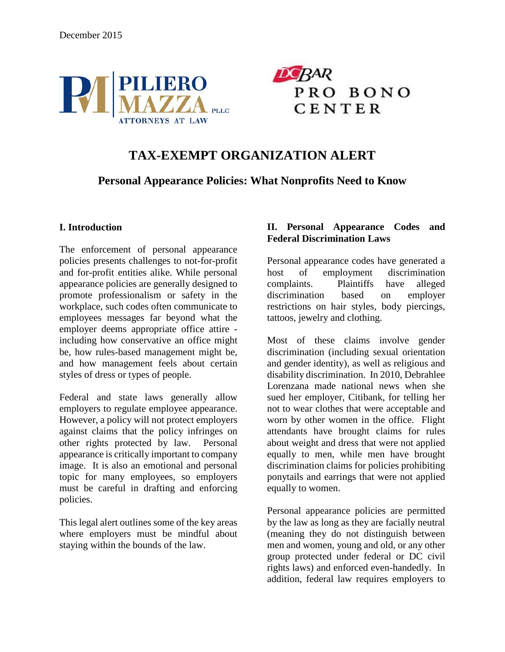



# **TAX-EXEMPT ORGANIZATION ALERT**

# **Personal Appearance Policies: What Nonprofits Need to Know**

### **I. Introduction**

The enforcement of personal appearance policies presents challenges to not-for-profit and for-profit entities alike. While personal appearance policies are generally designed to promote professionalism or safety in the workplace, such codes often communicate to employees messages far beyond what the employer deems appropriate office attire including how conservative an office might be, how rules-based management might be, and how management feels about certain styles of dress or types of people.

Federal and state laws generally allow employers to regulate employee appearance. However, a policy will not protect employers against claims that the policy infringes on other rights protected by law. Personal appearance is critically important to company image. It is also an emotional and personal topic for many employees, so employers must be careful in drafting and enforcing policies.

This legal alert outlines some of the key areas where employers must be mindful about staying within the bounds of the law.

## **II. Personal Appearance Codes and Federal Discrimination Laws**

Personal appearance codes have generated a host of employment discrimination complaints. Plaintiffs have alleged discrimination based on employer restrictions on hair styles, body piercings, tattoos, jewelry and clothing.

Most of these claims involve gender discrimination (including sexual orientation and gender identity), as well as religious and disability discrimination. In 2010, Debrahlee Lorenzana made national news when she sued her employer, Citibank, for telling her not to wear clothes that were acceptable and worn by other women in the office. Flight attendants have brought claims for rules about weight and dress that were not applied equally to men, while men have brought discrimination claims for policies prohibiting ponytails and earrings that were not applied equally to women.

Personal appearance policies are permitted by the law as long as they are facially neutral (meaning they do not distinguish between men and women, young and old, or any other group protected under federal or DC civil rights laws) and enforced even-handedly. In addition, federal law requires employers to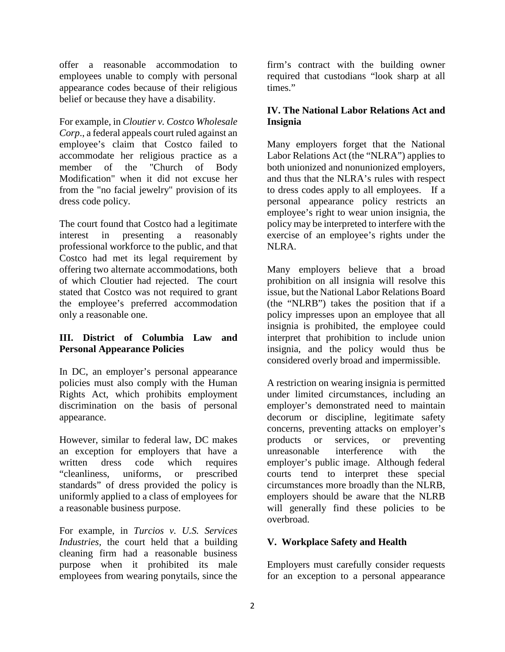offer a reasonable accommodation to employees unable to comply with personal appearance codes because of their religious belief or because they have a disability.

For example, in *Cloutier v. Costco Wholesale Corp*., a federal appeals court ruled against an employee's claim that Costco failed to accommodate her religious practice as a member of the "Church of Body Modification" when it did not excuse her from the "no facial jewelry" provision of its dress code policy.

The court found that Costco had a legitimate interest in presenting a reasonably professional workforce to the public, and that Costco had met its legal requirement by offering two alternate accommodations, both of which Cloutier had rejected. The court stated that Costco was not required to grant the employee's preferred accommodation only a reasonable one.

### **III. District of Columbia Law and Personal Appearance Policies**

In DC, an employer's personal appearance policies must also comply with the Human Rights Act, which prohibits employment discrimination on the basis of personal appearance.

However, similar to federal law, DC makes an exception for employers that have a written dress code which requires "cleanliness, uniforms, or prescribed standards" of dress provided the policy is uniformly applied to a class of employees for a reasonable business purpose.

For example, in *Turcios v. U.S. Services Industries,* the court held that a building cleaning firm had a reasonable business purpose when it prohibited its male employees from wearing ponytails, since the

firm's contract with the building owner required that custodians "look sharp at all times."

## **IV. The National Labor Relations Act and Insignia**

Many employers forget that the National Labor Relations Act (the "NLRA") applies to both unionized and nonunionized employers, and thus that the NLRA's rules with respect to dress codes apply to all employees. If a personal appearance policy restricts an employee's right to wear union insignia, the policy may be interpreted to interfere with the exercise of an employee's rights under the NLRA.

Many employers believe that a broad prohibition on all insignia will resolve this issue, but the National Labor Relations Board (the "NLRB") takes the position that if a policy impresses upon an employee that all insignia is prohibited, the employee could interpret that prohibition to include union insignia, and the policy would thus be considered overly broad and impermissible.

A restriction on wearing insignia is permitted under limited circumstances, including an employer's demonstrated need to maintain decorum or discipline, legitimate safety concerns, preventing attacks on employer's products or services, or preventing unreasonable interference with the employer's public image. Although federal courts tend to interpret these special circumstances more broadly than the NLRB, employers should be aware that the NLRB will generally find these policies to be overbroad.

### **V. Workplace Safety and Health**

Employers must carefully consider requests for an exception to a personal appearance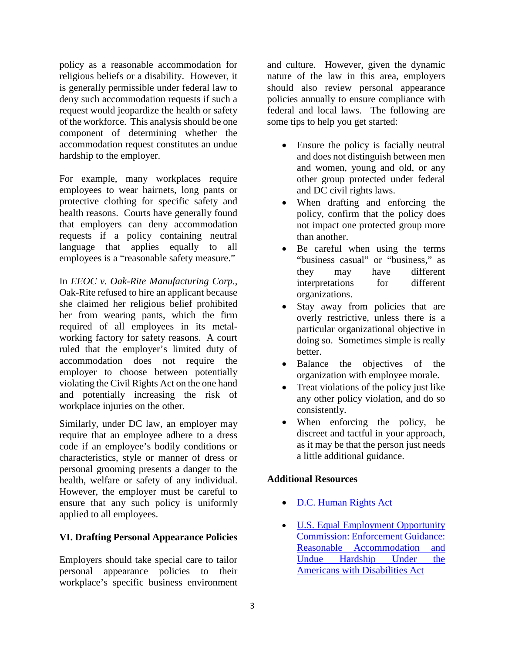policy as a reasonable accommodation for religious beliefs or a disability. However, it is generally permissible under federal law to deny such accommodation requests if such a request would jeopardize the health or safety of the workforce. This analysis should be one component of determining whether the accommodation request constitutes an undue hardship to the employer.

For example, many workplaces require employees to wear hairnets, long pants or protective clothing for specific safety and health reasons. Courts have generally found that employers can deny accommodation requests if a policy containing neutral language that applies equally to all employees is a "reasonable safety measure."

In *EEOC v. Oak-Rite Manufacturing Corp.*, Oak-Rite refused to hire an applicant because she claimed her religious belief prohibited her from wearing pants, which the firm required of all employees in its metalworking factory for safety reasons. A court ruled that the employer's limited duty of accommodation does not require the employer to choose between potentially violating the Civil Rights Act on the one hand and potentially increasing the risk of workplace injuries on the other.

Similarly, under DC law, an employer may require that an employee adhere to a dress code if an employee's bodily conditions or characteristics, style or manner of dress or personal grooming presents a danger to the health, welfare or safety of any individual. However, the employer must be careful to ensure that any such policy is uniformly applied to all employees.

### **VI. Drafting Personal Appearance Policies**

Employers should take special care to tailor personal appearance policies to their workplace's specific business environment

and culture. However, given the dynamic nature of the law in this area, employers should also review personal appearance policies annually to ensure compliance with federal and local laws. The following are some tips to help you get started:

- Ensure the policy is facially neutral and does not distinguish between men and women, young and old, or any other group protected under federal and DC civil rights laws.
- When drafting and enforcing the policy, confirm that the policy does not impact one protected group more than another.
- Be careful when using the terms "business casual" or "business," as they may have different interpretations for different organizations.
- Stay away from policies that are overly restrictive, unless there is a particular organizational objective in doing so. Sometimes simple is really better.
- Balance the objectives of the organization with employee morale.
- Treat violations of the policy just like any other policy violation, and do so consistently.
- When enforcing the policy, be discreet and tactful in your approach, as it may be that the person just needs a little additional guidance.

### **Additional Resources**

- [D.C. Human Rights Act](http://ohr.dc.gov/sites/default/files/dc/sites/ohr/publication/attachments/LawsAndRegs-HumanRightsAct-1977-English.pdf)
- **U.S. Equal Employment Opportunity** [Commission: Enforcement Guidance:](http://www.eeoc.gov/policy/docs/accommodation.html)  [Reasonable Accommodation](http://www.eeoc.gov/policy/docs/accommodation.html) and [Undue Hardship Under the](http://www.eeoc.gov/policy/docs/accommodation.html)  [Americans with Disabilities Act](http://www.eeoc.gov/policy/docs/accommodation.html)